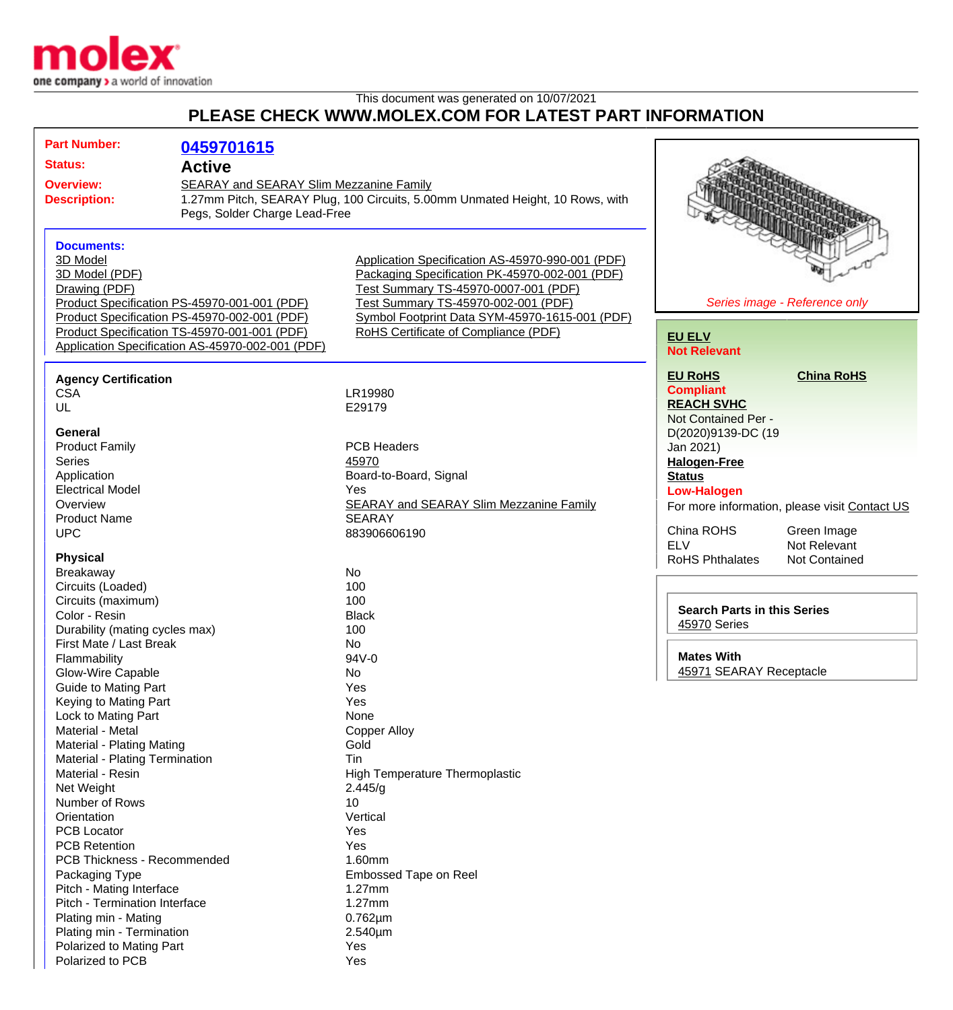

## This document was generated on 10/07/2021 **PLEASE CHECK WWW.MOLEX.COM FOR LATEST PART INFORMATION**

| <b>Part Number:</b>                                                                              | 0459701615                                                                                                               |                                                  |                                    |                                               |
|--------------------------------------------------------------------------------------------------|--------------------------------------------------------------------------------------------------------------------------|--------------------------------------------------|------------------------------------|-----------------------------------------------|
|                                                                                                  |                                                                                                                          |                                                  |                                    |                                               |
| <b>Status:</b><br><b>Active</b>                                                                  |                                                                                                                          |                                                  |                                    |                                               |
| <b>Overview:</b>                                                                                 | SEARAY and SEARAY Slim Mezzanine Family<br>1.27mm Pitch, SEARAY Plug, 100 Circuits, 5.00mm Unmated Height, 10 Rows, with |                                                  |                                    |                                               |
| <b>Description:</b>                                                                              |                                                                                                                          |                                                  |                                    |                                               |
|                                                                                                  | Pegs, Solder Charge Lead-Free                                                                                            |                                                  |                                    |                                               |
|                                                                                                  |                                                                                                                          |                                                  |                                    |                                               |
| <b>Documents:</b>                                                                                |                                                                                                                          |                                                  |                                    |                                               |
| 3D Model                                                                                         |                                                                                                                          | Application Specification AS-45970-990-001 (PDF) |                                    |                                               |
| 3D Model (PDF)                                                                                   |                                                                                                                          | Packaging Specification PK-45970-002-001 (PDF)   |                                    |                                               |
| Drawing (PDF)                                                                                    |                                                                                                                          | Test Summary TS-45970-0007-001 (PDF)             |                                    |                                               |
|                                                                                                  | Product Specification PS-45970-001-001 (PDF)                                                                             | Test Summary TS-45970-002-001 (PDF)              |                                    | Series image - Reference only                 |
|                                                                                                  | Product Specification PS-45970-002-001 (PDF)                                                                             | Symbol Footprint Data SYM-45970-1615-001 (PDF)   |                                    |                                               |
| Product Specification TS-45970-001-001 (PDF)<br>Application Specification AS-45970-002-001 (PDF) |                                                                                                                          | RoHS Certificate of Compliance (PDF)             | <b>EU ELV</b>                      |                                               |
|                                                                                                  |                                                                                                                          |                                                  | <b>Not Relevant</b>                |                                               |
|                                                                                                  |                                                                                                                          |                                                  | <b>EU RoHS</b>                     | <b>China RoHS</b>                             |
| <b>Agency Certification</b>                                                                      |                                                                                                                          |                                                  | <b>Compliant</b>                   |                                               |
| <b>CSA</b>                                                                                       |                                                                                                                          | LR19980                                          | <b>REACH SVHC</b>                  |                                               |
| UL                                                                                               |                                                                                                                          | E29179                                           | Not Contained Per -                |                                               |
| General                                                                                          |                                                                                                                          |                                                  | D(2020)9139-DC (19                 |                                               |
| <b>Product Family</b>                                                                            |                                                                                                                          | <b>PCB Headers</b>                               | Jan 2021)                          |                                               |
| <b>Series</b>                                                                                    |                                                                                                                          | 45970                                            |                                    |                                               |
|                                                                                                  |                                                                                                                          | Board-to-Board, Signal                           | <b>Halogen-Free</b>                |                                               |
| Application                                                                                      |                                                                                                                          | Yes                                              | <b>Status</b>                      |                                               |
| <b>Electrical Model</b>                                                                          |                                                                                                                          | <b>SEARAY and SEARAY Slim Mezzanine Family</b>   | <b>Low-Halogen</b>                 |                                               |
| Overview<br><b>Product Name</b>                                                                  |                                                                                                                          | <b>SEARAY</b>                                    |                                    | For more information, please visit Contact US |
| <b>UPC</b>                                                                                       |                                                                                                                          | 883906606190                                     | China ROHS                         | Green Image                                   |
|                                                                                                  |                                                                                                                          |                                                  | <b>ELV</b>                         | Not Relevant                                  |
| <b>Physical</b>                                                                                  |                                                                                                                          |                                                  | <b>RoHS Phthalates</b>             | Not Contained                                 |
| Breakaway                                                                                        |                                                                                                                          | <b>No</b>                                        |                                    |                                               |
| Circuits (Loaded)                                                                                |                                                                                                                          | 100                                              |                                    |                                               |
| Circuits (maximum)                                                                               |                                                                                                                          | 100                                              |                                    |                                               |
| Color - Resin                                                                                    |                                                                                                                          | <b>Black</b>                                     | <b>Search Parts in this Series</b> |                                               |
| Durability (mating cycles max)                                                                   |                                                                                                                          | 100                                              | 45970 Series                       |                                               |
| First Mate / Last Break                                                                          |                                                                                                                          | No                                               |                                    |                                               |
| Flammability                                                                                     |                                                                                                                          | 94V-0                                            | <b>Mates With</b>                  |                                               |
| Glow-Wire Capable                                                                                |                                                                                                                          | No.                                              | 45971 SEARAY Receptacle            |                                               |
| <b>Guide to Mating Part</b>                                                                      |                                                                                                                          | Yes                                              |                                    |                                               |
| Keying to Mating Part                                                                            |                                                                                                                          | Yes                                              |                                    |                                               |
| Lock to Mating Part                                                                              |                                                                                                                          | None                                             |                                    |                                               |
| Material - Metal                                                                                 |                                                                                                                          | <b>Copper Alloy</b>                              |                                    |                                               |
| Material - Plating Mating                                                                        |                                                                                                                          | Gold                                             |                                    |                                               |
| Material - Plating Termination                                                                   |                                                                                                                          | Tin                                              |                                    |                                               |
| Material - Resin                                                                                 |                                                                                                                          | <b>High Temperature Thermoplastic</b>            |                                    |                                               |
| Net Weight                                                                                       |                                                                                                                          | 2.445/g                                          |                                    |                                               |
| Number of Rows                                                                                   |                                                                                                                          | 10                                               |                                    |                                               |
| Orientation                                                                                      |                                                                                                                          | Vertical                                         |                                    |                                               |
| <b>PCB Locator</b>                                                                               |                                                                                                                          | Yes                                              |                                    |                                               |
| <b>PCB Retention</b>                                                                             |                                                                                                                          | Yes                                              |                                    |                                               |
| PCB Thickness - Recommended                                                                      |                                                                                                                          | 1.60mm                                           |                                    |                                               |
| Packaging Type                                                                                   |                                                                                                                          | Embossed Tape on Reel                            |                                    |                                               |
| Pitch - Mating Interface                                                                         |                                                                                                                          | $1.27$ mm                                        |                                    |                                               |
| Pitch - Termination Interface                                                                    |                                                                                                                          | $1.27$ mm                                        |                                    |                                               |
| Plating min - Mating                                                                             |                                                                                                                          | $0.762 \mu m$                                    |                                    |                                               |
| Plating min - Termination                                                                        |                                                                                                                          | 2.540µm                                          |                                    |                                               |
| Polarized to Mating Part                                                                         |                                                                                                                          | Yes                                              |                                    |                                               |
| Polarized to PCB                                                                                 |                                                                                                                          | Yes                                              |                                    |                                               |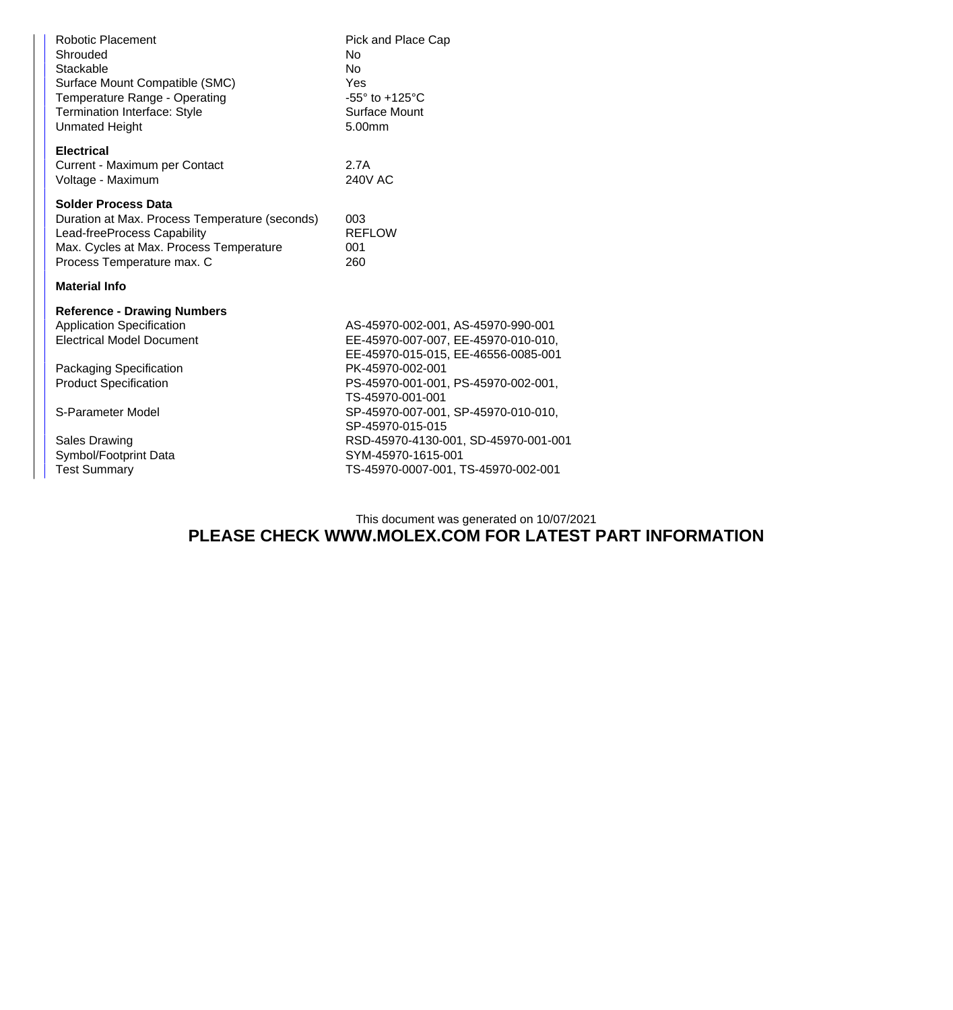| <b>Robotic Placement</b><br>Shrouded<br>Stackable<br>Surface Mount Compatible (SMC)<br>Temperature Range - Operating<br><b>Termination Interface: Style</b><br><b>Unmated Height</b>                                                                        | Pick and Place Cap<br>No<br>No.<br>Yes<br>-55° to +125°C<br>Surface Mount<br>5.00mm                                                                                                                                                                                                                                                                             |  |  |  |
|-------------------------------------------------------------------------------------------------------------------------------------------------------------------------------------------------------------------------------------------------------------|-----------------------------------------------------------------------------------------------------------------------------------------------------------------------------------------------------------------------------------------------------------------------------------------------------------------------------------------------------------------|--|--|--|
| <b>Electrical</b><br>Current - Maximum per Contact<br>Voltage - Maximum                                                                                                                                                                                     | 2.7A<br>240V AC                                                                                                                                                                                                                                                                                                                                                 |  |  |  |
| <b>Solder Process Data</b><br>Duration at Max. Process Temperature (seconds)<br>Lead-freeProcess Capability<br>Max. Cycles at Max. Process Temperature<br>Process Temperature max. C                                                                        | 003<br><b>REFLOW</b><br>001<br>260                                                                                                                                                                                                                                                                                                                              |  |  |  |
| <b>Material Info</b>                                                                                                                                                                                                                                        |                                                                                                                                                                                                                                                                                                                                                                 |  |  |  |
| <b>Reference - Drawing Numbers</b><br><b>Application Specification</b><br><b>Electrical Model Document</b><br>Packaging Specification<br><b>Product Specification</b><br>S-Parameter Model<br>Sales Drawing<br>Symbol/Footprint Data<br><b>Test Summary</b> | AS-45970-002-001, AS-45970-990-001<br>EE-45970-007-007, EE-45970-010-010,<br>EE-45970-015-015, EE-46556-0085-001<br>PK-45970-002-001<br>PS-45970-001-001, PS-45970-002-001,<br>TS-45970-001-001<br>SP-45970-007-001, SP-45970-010-010,<br>SP-45970-015-015<br>RSD-45970-4130-001, SD-45970-001-001<br>SYM-45970-1615-001<br>TS-45970-0007-001, TS-45970-002-001 |  |  |  |
|                                                                                                                                                                                                                                                             |                                                                                                                                                                                                                                                                                                                                                                 |  |  |  |

## This document was generated on 10/07/2021 **PLEASE CHECK WWW.MOLEX.COM FOR LATEST PART INFORMATION**